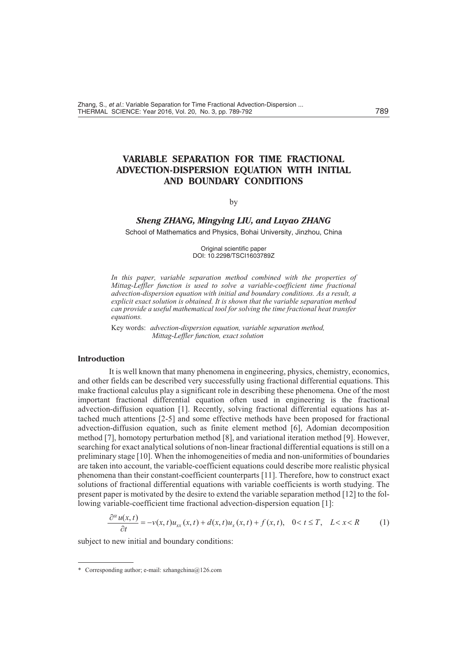# **VARIABLE SEPARATION FOR TIME FRACTIONAL ADVECTION-DISPERSION EQUATION WITH INITIAL AND BOUNDARY CONDITIONS**

### by

## *Sheng ZHANG, Mingying LIU, and Luyao ZHANG*

School of Mathematics and Physics, Bohai University, Jinzhou, China

Original scientific paper DOI: 10.2298/TSCI1603789Z

In this paper, variable separation method combined with the properties of *Mittag-Leffler function is used to solve a variable-coefficient time fractional advection-dispersion equation with initial and boundary conditions. As a result, a explicit exact solution is obtained. It is shown that the variable separation method can provide a useful mathematical tool for solving the time fractional heat transfer equa tions.*

Key words: *advection-dispersion equation, variable separation method, Mittag-Leffler function, exact solution*

#### **In tro duc tion**

It is well known that many phenomena in engineering, physics, chemistry, economics, and other fields can be described very successfully using fractional differential equations. This make fractional calculus play a significant role in describing these phenomena. One of the most important fractional differential equation often used in engineering is the fractional advection-diffusion equation [1]. Recently, solving fractional differential equations has attached much attentions [2-5] and some effective methods have been proposed for fractional advection-diffusion equation, such as finite element method [6], Adomian decomposition method  $[7]$ , homotopy perturbation method  $[8]$ , and variational iteration method  $[9]$ . However, searching for exact analytical solutions of non-linear fractional differential equations is still on a preliminary stage [10]. When the inhomogeneities of media and non-uniformities of boundaries are taken into account, the variable-coefficient equations could describe more realistic physical phenomena than their constant-coefficient counterparts [11]. Therefore, how to construct exact solutions of fractional differential equations with variable coefficients is worth studying. The present paper is motivated by the desire to extend the variable separation method [12] to the following variable-coefficient time fractional advection-dispersion equation [1]:

$$
\frac{\partial^{\alpha} u(x,t)}{\partial t} \qquad v(x,t)u_{xx}(x,t) \quad d(x,t)u_{x}(x,t) \quad f(x,t), \quad 0 \quad t \quad T, \quad L \quad x \quad R \tag{1}
$$

subject to new initial and boundary conditions:

<sup>\*</sup> Corresponding author; e-mail: szhangchina@126.com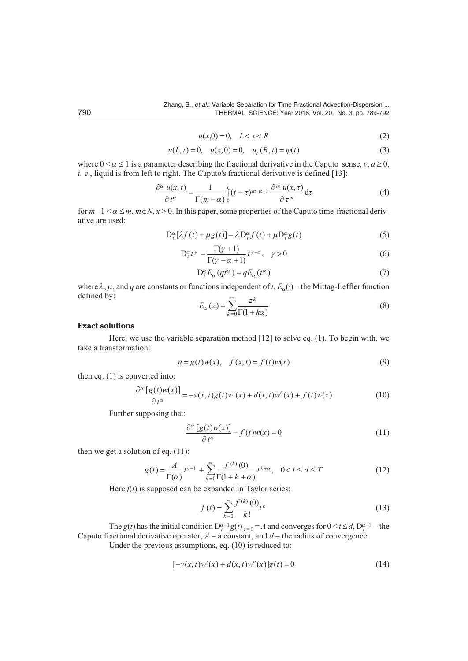$u(x,0)$  0, L x R  $(2)$ 

$$
u(L, t) \quad 0, \quad u(x, 0) \quad 0, \quad u_t(R, t) \quad \varphi(t) \tag{3}
$$

where  $0 < \alpha$  1 is a parameter describing the fractional derivative in the Caputo sense, v, d 0, *i. e.*, liquid is from left to right. The Caputo's fractional derivative is defined [13]:

$$
\frac{\partial^{\alpha} u(x,t)}{\partial t^{\alpha}} \frac{1}{\Gamma(m-\alpha)} \int_{0}^{t} (t-\tau)^{m-\alpha-1} \frac{\partial^{m} u(x,\tau)}{\partial \tau^{m}} d\tau
$$
\n(4)

for  $m-1 < \alpha$  m, m  $N, x > 0$ . In this paper, some properties of the Caputo time-fractional derivative are used:

$$
D_t^{\alpha}[\lambda f(t) \quad \mu g(t)] \quad \lambda D_t^{\alpha} f(t) \quad \mu D_t^{\alpha} g(t) \tag{5}
$$

$$
D_t^{\alpha} t^{\gamma} = \frac{\Gamma(\gamma - 1)}{\Gamma(\gamma - \alpha - 1)} t^{\gamma - \alpha}, \quad \gamma = 0 \tag{6}
$$

$$
D_t^{\alpha} E_{\alpha} (qt^{\alpha}) \quad qE_{\alpha} (t^{\alpha}) \tag{7}
$$

where  $\lambda, \mu$ , and q are constants or functions independent of t,  $E_{\alpha}(\cdot)$  – the Mittag-Leffler function defined by:  $\overline{L}$ 

$$
E_{\alpha}(z) \qquad \frac{z^{\kappa}}{k \quad 0} \overline{\Gamma(1 - k\alpha)} \tag{8}
$$

#### **Exact solutions**

Here, we use the variable separation method  $[12]$  to solve eq.  $(1)$ . To begin with, we take a transformation:

$$
u \t g(t)w(x), \t f(x,t) \t f(t)w(x) \t(9)
$$

then eq.  $(1)$  is converted into:

$$
\frac{\partial^{\alpha} [g(t)w(x)]}{\partial t^{\alpha}} \qquad v(x,t)g(t)w(x) \quad d(x,t)w(x) \qquad f(t)w(x) \tag{10}
$$

Further supposing that:

$$
\frac{\partial^{\alpha} [g(t)w(x)]}{\partial t^{\alpha}} f(t)w(x) \quad 0 \tag{11}
$$

then we get a solution of eq.  $(11)$ :

$$
g(t) \quad \frac{A}{\Gamma(\alpha)} t^{\alpha-1} \quad \stackrel{\infty}{\longrightarrow} \frac{f^{(k)}(0)}{\Gamma(1-k-\alpha)} t^{k-\alpha}, \quad 0 \quad t \quad d \quad T \tag{12}
$$

Here  $f(t)$  is supposed can be expanded in Taylor series:

$$
f(t) = \sum_{k=0}^{\infty} \frac{f^{(k)}(0)}{k!} t^k
$$
 (13)

The  $g(t)$  has the initial condition  $D_t^{\alpha-1}g(t)|_{t=0} = A$  and converges for  $0 \le t \le d$ ,  $D_t^{\alpha-1}$  - the Caputo fractional derivative operator,  $A - a$  constant, and  $d -$  the radius of convergence. Under the previous assumptions, eq.  $(10)$  is reduced to:

$$
[ v(x, t)w(x) d(x, t)w(x)]g(t) 0
$$
 (14)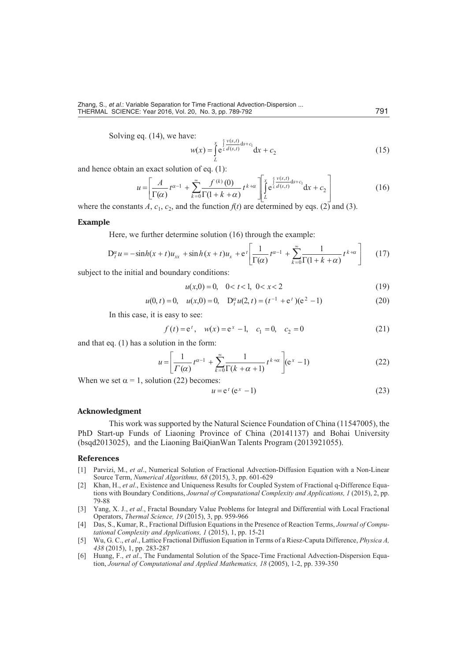Solving eq. (14), we have:

$$
w(x) = \begin{cases} \frac{x}{e^L} \frac{v(s,t)}{d(s,t)} ds & c_1 \\ \frac{1}{e^L} \frac{d^2(s,t)}{ds^2} & \text{if } c_2 \end{cases} \tag{15}
$$

and hence obtain an exact solution of eq. (1):

$$
u \quad \frac{A}{\Gamma(\alpha)} t^{\alpha} \quad \int_{k}^{\infty} \frac{f^{(k)}(0)}{\Gamma(1 - k - \alpha)} t^{k - \alpha} \quad \int_{L}^{x - \frac{x - y(s, t)}{\alpha(s, t)} ds} c_1 dx \quad c_2 \tag{16}
$$

where the constants A,  $c_1$ ,  $c_2$ , and the function  $f(t)$  are determined by eqs. (2) and (3).

#### **Example**

Here, we further determine solution (16) through the example:

 $\iota$ 

$$
D_t^{\alpha} u \quad \sinh(x \quad t) u_{xx} \quad \sinh(x \quad t) u_x \quad e^t \quad \frac{1}{\Gamma(\alpha)} t^{\alpha-1} \quad \int_{-k}^{\infty} \frac{1}{\alpha \Gamma(1 - k - \alpha)} t^{k - \alpha} \tag{17}
$$

subject to the initial and boundary conditions:

$$
u(x,0) \quad 0, \quad 0 \quad t \quad 1, \quad 0 \quad x \quad 2 \tag{19}
$$

$$
(0, t) \quad 0, \quad u(x, 0) \quad 0, \quad D_t^{\alpha} u(2, t) \quad (t^{-1} \quad e^t)(e^2 \quad 1) \tag{20}
$$

In this case, it is easy to see:

$$
f(t) et
$$
,  $w(x) ex$  1,  $c1$  0,  $c2$  0 (21)

and that eq.  $(1)$  has a solution in the form:

 $\overline{u}$ 

$$
u \quad \frac{1}{\Gamma(\alpha)} t^{\alpha - 1} \quad \int_{k=0}^{\infty} \frac{1}{\Gamma(k - \alpha - 1)} t^{k - \alpha} \quad (\mathrm{e}^x - 1) \tag{22}
$$

When we set  $= 1$ , solution (22) becomes:

$$
u \quad e^t \left( e^x \quad 1 \right) \tag{23}
$$

#### **Acknowledgment**

This work was supported by the Natural Science Foundation of China (11547005), the PhD Start-up Funds of Liaoning Province of China (20141137) and Bohai University (bsqd2013025), and the Liaoning BaiQianWan Talents Program (2013921055).

#### **References**

- [1] Parvizi, M., et al., Numerical Solution of Fractional Advection-Diffusion Equation with a Non-Linear Source Term, Numerical Algorithms, 68 (2015), 3, pp. 601-629
- [2] Khan, H., et al., Existence and Uniqueness Results for Coupled System of Fractional q-Difference Equations with Boundary Conditions, Journal of Computational Complexity and Applications, 1 (2015), 2, pp. 79-88
- [3] Yang, X. J., et al., Fractal Boundary Value Problems for Integral and Differential with Local Fractional Operators, Thermal Science, 19 (2015), 3, pp. 959-966
- [4] Das, S., Kumar, R., Fractional Diffusion Equations in the Presence of Reaction Terms, Journal of Computational Complexity and Applications, 1 (2015), 1, pp. 15-21
- [5] Wu, G. C., et al., Lattice Fractional Diffusion Equation in Terms of a Riesz-Caputa Difference, Physica A, 438 (2015), 1, pp. 283-287
- [6] Huang, F., et al., The Fundamental Solution of the Space-Time Fractional Advection-Dispersion Equation, Journal of Computational and Applied Mathematics, 18 (2005), 1-2, pp. 339-350